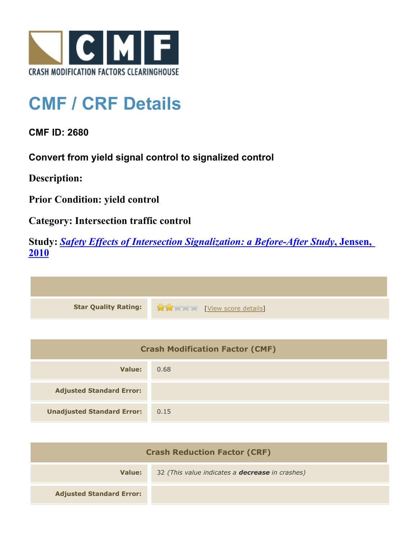

## **CMF / CRF Details**

**CMF ID: 2680**

**Convert from yield signal control to signalized control**

**Description:** 

**Prior Condition: yield control**

**Category: Intersection traffic control**

**Study:** *[Safety Effects of Intersection Signalization: a Before-After Study](http://www.cmfclearinghouse.org/study_detail.cfm?stid=170)***[, Jensen,](http://www.cmfclearinghouse.org/study_detail.cfm?stid=170) [2010](http://www.cmfclearinghouse.org/study_detail.cfm?stid=170)**



| <b>Crash Modification Factor (CMF)</b> |      |
|----------------------------------------|------|
| Value:                                 | 0.68 |
| <b>Adjusted Standard Error:</b>        |      |
| <b>Unadjusted Standard Error:</b>      | 0.15 |

| <b>Crash Reduction Factor (CRF)</b> |                                                        |
|-------------------------------------|--------------------------------------------------------|
| Value:                              | 32 (This value indicates a <b>decrease</b> in crashes) |
| <b>Adjusted Standard Error:</b>     |                                                        |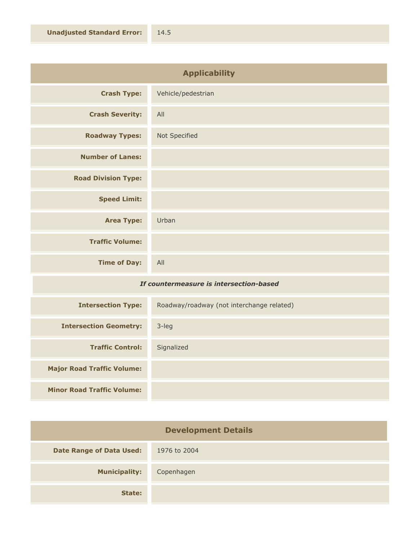| <b>Applicability</b>       |                    |
|----------------------------|--------------------|
| <b>Crash Type:</b>         | Vehicle/pedestrian |
| <b>Crash Severity:</b>     | All                |
| <b>Roadway Types:</b>      | Not Specified      |
| <b>Number of Lanes:</b>    |                    |
| <b>Road Division Type:</b> |                    |
| <b>Speed Limit:</b>        |                    |
| <b>Area Type:</b>          | Urban              |
| <b>Traffic Volume:</b>     |                    |
| <b>Time of Day:</b>        | All                |

## *If countermeasure is intersection-based*

| <b>Intersection Type:</b>         | Roadway/roadway (not interchange related) |
|-----------------------------------|-------------------------------------------|
| <b>Intersection Geometry:</b>     | $3$ -leg                                  |
| <b>Traffic Control:</b>           | Signalized                                |
| <b>Major Road Traffic Volume:</b> |                                           |
| <b>Minor Road Traffic Volume:</b> |                                           |

| <b>Development Details</b>      |              |
|---------------------------------|--------------|
| <b>Date Range of Data Used:</b> | 1976 to 2004 |
| <b>Municipality:</b>            | Copenhagen   |
| State:                          |              |